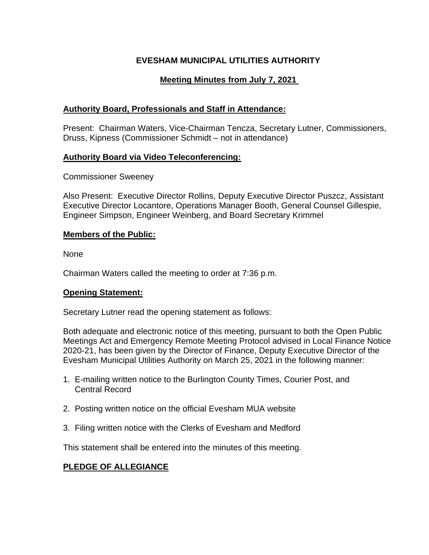# **EVESHAM MUNICIPAL UTILITIES AUTHORITY**

# **Meeting Minutes from July 7, 2021**

# **Authority Board, Professionals and Staff in Attendance:**

Present: Chairman Waters, Vice-Chairman Tencza, Secretary Lutner, Commissioners, Druss, Kipness (Commissioner Schmidt – not in attendance)

## **Authority Board via Video Teleconferencing:**

Commissioner Sweeney

Also Present: Executive Director Rollins, Deputy Executive Director Puszcz, Assistant Executive Director Locantore, Operations Manager Booth, General Counsel Gillespie, Engineer Simpson, Engineer Weinberg, and Board Secretary Krimmel

## **Members of the Public:**

None

Chairman Waters called the meeting to order at 7:36 p.m.

#### **Opening Statement:**

Secretary Lutner read the opening statement as follows:

Both adequate and electronic notice of this meeting, pursuant to both the Open Public Meetings Act and Emergency Remote Meeting Protocol advised in Local Finance Notice 2020-21, has been given by the Director of Finance, Deputy Executive Director of the Evesham Municipal Utilities Authority on March 25, 2021 in the following manner:

- 1. E-mailing written notice to the Burlington County Times, Courier Post, and Central Record
- 2. Posting written notice on the official Evesham MUA website
- 3. Filing written notice with the Clerks of Evesham and Medford

This statement shall be entered into the minutes of this meeting.

# **PLEDGE OF ALLEGIANCE**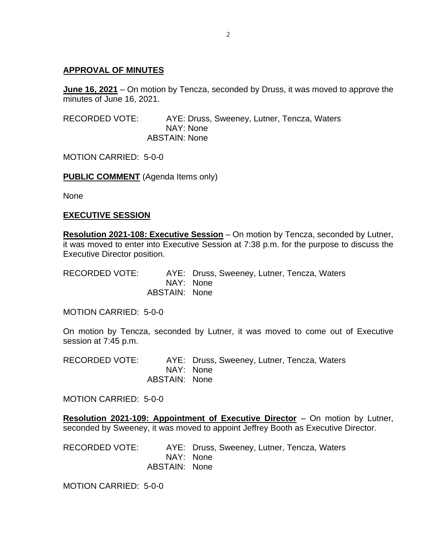#### **APPROVAL OF MINUTES**

**June 16, 2021** – On motion by Tencza, seconded by Druss, it was moved to approve the minutes of June 16, 2021.

RECORDED VOTE: AYE: Druss, Sweeney, Lutner, Tencza, Waters NAY: None ABSTAIN: None

MOTION CARRIED: 5-0-0

**PUBLIC COMMENT** (Agenda Items only)

None

#### **EXECUTIVE SESSION**

**Resolution 2021-108: Executive Session** – On motion by Tencza, seconded by Lutner, it was moved to enter into Executive Session at 7:38 p.m. for the purpose to discuss the Executive Director position.

RECORDED VOTE: AYE: Druss, Sweeney, Lutner, Tencza, Waters NAY: None ABSTAIN: None

MOTION CARRIED: 5-0-0

On motion by Tencza, seconded by Lutner, it was moved to come out of Executive session at 7:45 p.m.

RECORDED VOTE: AYE: Druss, Sweeney, Lutner, Tencza, Waters NAY: None ABSTAIN: None

MOTION CARRIED: 5-0-0

**Resolution 2021-109: Appointment of Executive Director** – On motion by Lutner, seconded by Sweeney, it was moved to appoint Jeffrey Booth as Executive Director.

RECORDED VOTE: AYE: Druss, Sweeney, Lutner, Tencza, Waters NAY: None ABSTAIN: None

MOTION CARRIED: 5-0-0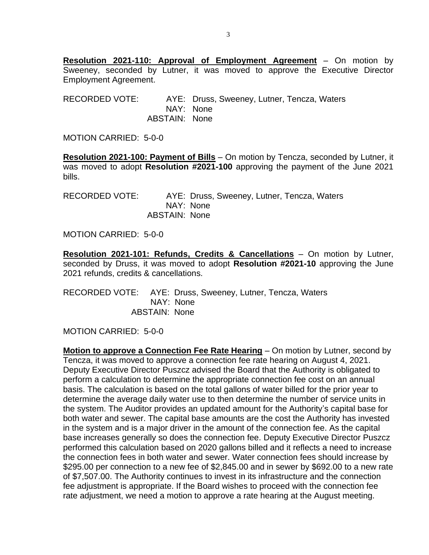**Resolution 2021-110: Approval of Employment Agreement** – On motion by Sweeney, seconded by Lutner, it was moved to approve the Executive Director Employment Agreement.

RECORDED VOTE: AYE: Druss, Sweeney, Lutner, Tencza, Waters NAY: None ABSTAIN: None

MOTION CARRIED: 5-0-0

**Resolution 2021-100: Payment of Bills** – On motion by Tencza, seconded by Lutner, it was moved to adopt **Resolution #2021-100** approving the payment of the June 2021 bills.

RECORDED VOTE: AYE: Druss, Sweeney, Lutner, Tencza, Waters NAY: None ABSTAIN: None

MOTION CARRIED: 5-0-0

**Resolution 2021-101: Refunds, Credits & Cancellations** – On motion by Lutner, seconded by Druss, it was moved to adopt **Resolution #2021-10** approving the June 2021 refunds, credits & cancellations.

RECORDED VOTE: AYE: Druss, Sweeney, Lutner, Tencza, Waters NAY: None ABSTAIN: None

MOTION CARRIED: 5-0-0

**Motion to approve a Connection Fee Rate Hearing** – On motion by Lutner, second by Tencza, it was moved to approve a connection fee rate hearing on August 4, 2021. Deputy Executive Director Puszcz advised the Board that the Authority is obligated to perform a calculation to determine the appropriate connection fee cost on an annual basis. The calculation is based on the total gallons of water billed for the prior year to determine the average daily water use to then determine the number of service units in the system. The Auditor provides an updated amount for the Authority's capital base for both water and sewer. The capital base amounts are the cost the Authority has invested in the system and is a major driver in the amount of the connection fee. As the capital base increases generally so does the connection fee. Deputy Executive Director Puszcz performed this calculation based on 2020 gallons billed and it reflects a need to increase the connection fees in both water and sewer. Water connection fees should increase by \$295.00 per connection to a new fee of \$2,845.00 and in sewer by \$692.00 to a new rate of \$7,507.00. The Authority continues to invest in its infrastructure and the connection fee adjustment is appropriate. If the Board wishes to proceed with the connection fee rate adjustment, we need a motion to approve a rate hearing at the August meeting.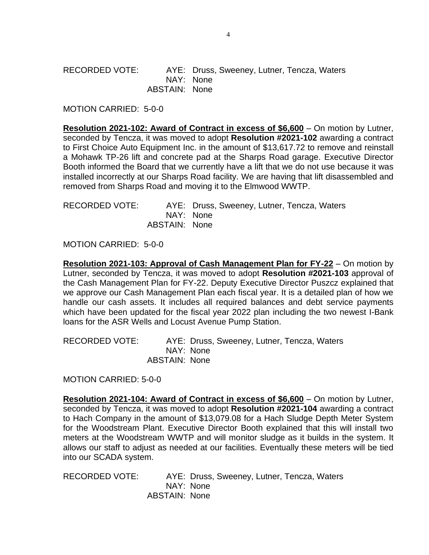#### RECORDED VOTE: AYE: Druss, Sweeney, Lutner, Tencza, Waters NAY: None ABSTAIN: None

MOTION CARRIED: 5-0-0

**Resolution 2021-102: Award of Contract in excess of \$6,600** – On motion by Lutner, seconded by Tencza, it was moved to adopt **Resolution #2021-102** awarding a contract to First Choice Auto Equipment Inc. in the amount of \$13,617.72 to remove and reinstall a Mohawk TP-26 lift and concrete pad at the Sharps Road garage. Executive Director Booth informed the Board that we currently have a lift that we do not use because it was installed incorrectly at our Sharps Road facility. We are having that lift disassembled and removed from Sharps Road and moving it to the Elmwood WWTP.

| <b>RECORDED VOTE:</b> |               | AYE: Druss, Sweeney, Lutner, Tencza, Waters |
|-----------------------|---------------|---------------------------------------------|
|                       |               | NAY: None                                   |
|                       | ABSTAIN: None |                                             |

MOTION CARRIED: 5-0-0

**Resolution 2021-103: Approval of Cash Management Plan for FY-22** – On motion by Lutner, seconded by Tencza, it was moved to adopt **Resolution #2021-103** approval of the Cash Management Plan for FY-22. Deputy Executive Director Puszcz explained that we approve our Cash Management Plan each fiscal year. It is a detailed plan of how we handle our cash assets. It includes all required balances and debt service payments which have been updated for the fiscal year 2022 plan including the two newest I-Bank loans for the ASR Wells and Locust Avenue Pump Station.

RECORDED VOTE: AYE: Druss, Sweeney, Lutner, Tencza, Waters NAY: None ABSTAIN: None

MOTION CARRIED: 5-0-0

**Resolution 2021-104: Award of Contract in excess of \$6,600** – On motion by Lutner, seconded by Tencza, it was moved to adopt **Resolution #2021-104** awarding a contract to Hach Company in the amount of \$13,079.08 for a Hach Sludge Depth Meter System for the Woodstream Plant. Executive Director Booth explained that this will install two meters at the Woodstream WWTP and will monitor sludge as it builds in the system. It allows our staff to adjust as needed at our facilities. Eventually these meters will be tied into our SCADA system.

RECORDED VOTE: AYE: Druss, Sweeney, Lutner, Tencza, Waters NAY: None ABSTAIN: None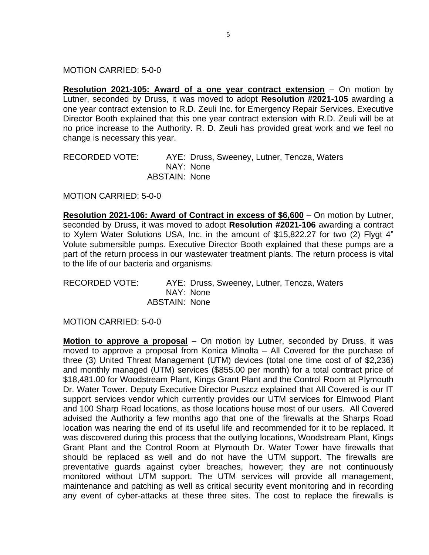MOTION CARRIED: 5-0-0

**Resolution 2021-105: Award of a one year contract extension** – On motion by Lutner, seconded by Druss, it was moved to adopt **Resolution #2021-105** awarding a one year contract extension to R.D. Zeuli Inc. for Emergency Repair Services. Executive Director Booth explained that this one year contract extension with R.D. Zeuli will be at no price increase to the Authority. R. D. Zeuli has provided great work and we feel no change is necessary this year.

RECORDED VOTE: AYE: Druss, Sweeney, Lutner, Tencza, Waters NAY: None ABSTAIN: None

MOTION CARRIED: 5-0-0

**Resolution 2021-106: Award of Contract in excess of \$6,600** – On motion by Lutner, seconded by Druss, it was moved to adopt **Resolution #2021-106** awarding a contract to Xylem Water Solutions USA, Inc. in the amount of \$15,822.27 for two (2) Flygt 4" Volute submersible pumps. Executive Director Booth explained that these pumps are a part of the return process in our wastewater treatment plants. The return process is vital to the life of our bacteria and organisms.

RECORDED VOTE: AYE: Druss, Sweeney, Lutner, Tencza, Waters NAY: None ABSTAIN: None

MOTION CARRIED: 5-0-0

**Motion to approve a proposal** – On motion by Lutner, seconded by Druss, it was moved to approve a proposal from Konica Minolta – All Covered for the purchase of three (3) United Threat Management (UTM) devices (total one time cost of of \$2,236) and monthly managed (UTM) services (\$855.00 per month) for a total contract price of \$18,481.00 for Woodstream Plant, Kings Grant Plant and the Control Room at Plymouth Dr. Water Tower. Deputy Executive Director Puszcz explained that All Covered is our IT support services vendor which currently provides our UTM services for Elmwood Plant and 100 Sharp Road locations, as those locations house most of our users. All Covered advised the Authority a few months ago that one of the firewalls at the Sharps Road location was nearing the end of its useful life and recommended for it to be replaced. It was discovered during this process that the outlying locations, Woodstream Plant, Kings Grant Plant and the Control Room at Plymouth Dr. Water Tower have firewalls that should be replaced as well and do not have the UTM support. The firewalls are preventative guards against cyber breaches, however; they are not continuously monitored without UTM support. The UTM services will provide all management, maintenance and patching as well as critical security event monitoring and in recording any event of cyber-attacks at these three sites. The cost to replace the firewalls is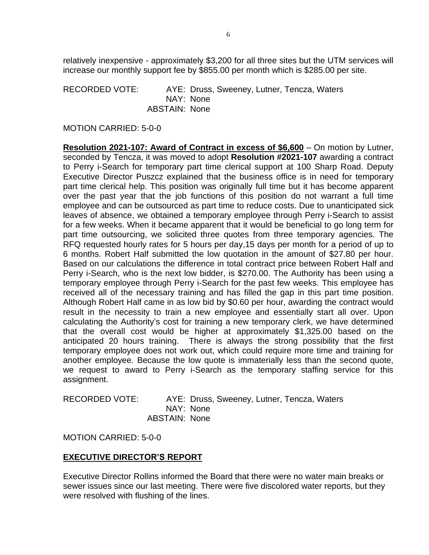relatively inexpensive - approximately \$3,200 for all three sites but the UTM services will increase our monthly support fee by \$855.00 per month which is \$285.00 per site.

RECORDED VOTE: AYE: Druss, Sweeney, Lutner, Tencza, Waters NAY: None ABSTAIN: None

MOTION CARRIED: 5-0-0

**Resolution 2021-107: Award of Contract in excess of \$6,600** – On motion by Lutner, seconded by Tencza, it was moved to adopt **Resolution #2021-107** awarding a contract to Perry i-Search for temporary part time clerical support at 100 Sharp Road. Deputy Executive Director Puszcz explained that the business office is in need for temporary part time clerical help. This position was originally full time but it has become apparent over the past year that the job functions of this position do not warrant a full time employee and can be outsourced as part time to reduce costs. Due to unanticipated sick leaves of absence, we obtained a temporary employee through Perry i-Search to assist for a few weeks. When it became apparent that it would be beneficial to go long term for part time outsourcing, we solicited three quotes from three temporary agencies. The RFQ requested hourly rates for 5 hours per day,15 days per month for a period of up to 6 months. Robert Half submitted the low quotation in the amount of \$27.80 per hour. Based on our calculations the difference in total contract price between Robert Half and Perry i-Search, who is the next low bidder, is \$270.00. The Authority has been using a temporary employee through Perry i-Search for the past few weeks. This employee has received all of the necessary training and has filled the gap in this part time position. Although Robert Half came in as low bid by \$0.60 per hour, awarding the contract would result in the necessity to train a new employee and essentially start all over. Upon calculating the Authority's cost for training a new temporary clerk, we have determined that the overall cost would be higher at approximately \$1,325.00 based on the anticipated 20 hours training. There is always the strong possibility that the first temporary employee does not work out, which could require more time and training for another employee. Because the low quote is immaterially less than the second quote, we request to award to Perry i-Search as the temporary staffing service for this assignment.

RECORDED VOTE: AYE: Druss, Sweeney, Lutner, Tencza, Waters NAY: None ABSTAIN: None

MOTION CARRIED: 5-0-0

#### **EXECUTIVE DIRECTOR'S REPORT**

Executive Director Rollins informed the Board that there were no water main breaks or sewer issues since our last meeting. There were five discolored water reports, but they were resolved with flushing of the lines.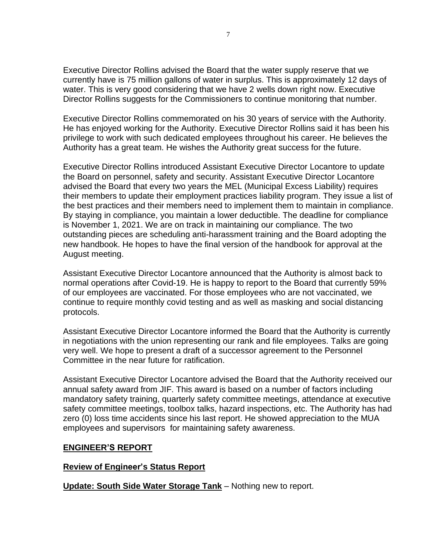Executive Director Rollins advised the Board that the water supply reserve that we currently have is 75 million gallons of water in surplus. This is approximately 12 days of water. This is very good considering that we have 2 wells down right now. Executive Director Rollins suggests for the Commissioners to continue monitoring that number.

Executive Director Rollins commemorated on his 30 years of service with the Authority. He has enjoyed working for the Authority. Executive Director Rollins said it has been his privilege to work with such dedicated employees throughout his career. He believes the Authority has a great team. He wishes the Authority great success for the future.

Executive Director Rollins introduced Assistant Executive Director Locantore to update the Board on personnel, safety and security. Assistant Executive Director Locantore advised the Board that every two years the MEL (Municipal Excess Liability) requires their members to update their employment practices liability program. They issue a list of the best practices and their members need to implement them to maintain in compliance. By staying in compliance, you maintain a lower deductible. The deadline for compliance is November 1, 2021. We are on track in maintaining our compliance. The two outstanding pieces are scheduling anti-harassment training and the Board adopting the new handbook. He hopes to have the final version of the handbook for approval at the August meeting.

Assistant Executive Director Locantore announced that the Authority is almost back to normal operations after Covid-19. He is happy to report to the Board that currently 59% of our employees are vaccinated. For those employees who are not vaccinated, we continue to require monthly covid testing and as well as masking and social distancing protocols.

Assistant Executive Director Locantore informed the Board that the Authority is currently in negotiations with the union representing our rank and file employees. Talks are going very well. We hope to present a draft of a successor agreement to the Personnel Committee in the near future for ratification.

Assistant Executive Director Locantore advised the Board that the Authority received our annual safety award from JIF. This award is based on a number of factors including mandatory safety training, quarterly safety committee meetings, attendance at executive safety committee meetings, toolbox talks, hazard inspections, etc. The Authority has had zero (0) loss time accidents since his last report. He showed appreciation to the MUA employees and supervisors for maintaining safety awareness.

#### **ENGINEER'S REPORT**

#### **Review of Engineer's Status Report**

**Update: South Side Water Storage Tank** – Nothing new to report.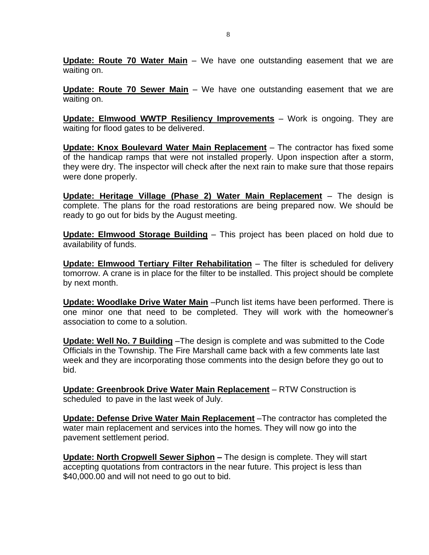**Update: Route 70 Water Main** – We have one outstanding easement that we are waiting on.

**Update: Route 70 Sewer Main** – We have one outstanding easement that we are waiting on.

**Update: Elmwood WWTP Resiliency Improvements** – Work is ongoing. They are waiting for flood gates to be delivered.

**Update: Knox Boulevard Water Main Replacement** – The contractor has fixed some of the handicap ramps that were not installed properly. Upon inspection after a storm, they were dry. The inspector will check after the next rain to make sure that those repairs were done properly.

**Update: Heritage Village (Phase 2) Water Main Replacement** – The design is complete. The plans for the road restorations are being prepared now. We should be ready to go out for bids by the August meeting.

**Update: Elmwood Storage Building** – This project has been placed on hold due to availability of funds.

**Update: Elmwood Tertiary Filter Rehabilitation** – The filter is scheduled for delivery tomorrow. A crane is in place for the filter to be installed. This project should be complete by next month.

**Update: Woodlake Drive Water Main** –Punch list items have been performed. There is one minor one that need to be completed. They will work with the homeowner's association to come to a solution.

**Update: Well No. 7 Building** –The design is complete and was submitted to the Code Officials in the Township. The Fire Marshall came back with a few comments late last week and they are incorporating those comments into the design before they go out to bid.

**Update: Greenbrook Drive Water Main Replacement** – RTW Construction is scheduled to pave in the last week of July.

**Update: Defense Drive Water Main Replacement** –The contractor has completed the water main replacement and services into the homes. They will now go into the pavement settlement period.

**Update: North Cropwell Sewer Siphon –** The design is complete. They will start accepting quotations from contractors in the near future. This project is less than \$40,000.00 and will not need to go out to bid.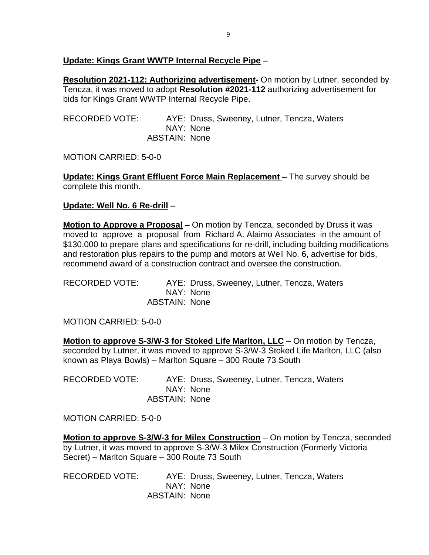## **Update: Kings Grant WWTP Internal Recycle Pipe –**

**Resolution 2021-112: Authorizing advertisement-** On motion by Lutner, seconded by Tencza, it was moved to adopt **Resolution #2021-112** authorizing advertisement for bids for Kings Grant WWTP Internal Recycle Pipe.

RECORDED VOTE: AYE: Druss, Sweeney, Lutner, Tencza, Waters NAY: None ABSTAIN: None

MOTION CARRIED: 5-0-0

**Update: Kings Grant Effluent Force Main Replacement –** The survey should be complete this month.

## **Update: Well No. 6 Re-drill –**

**Motion to Approve a Proposal** – On motion by Tencza, seconded by Druss it was moved to approve a proposal from Richard A. Alaimo Associates in the amount of \$130,000 to prepare plans and specifications for re-drill, including building modifications and restoration plus repairs to the pump and motors at Well No. 6, advertise for bids, recommend award of a construction contract and oversee the construction.

RECORDED VOTE: AYE: Druss, Sweeney, Lutner, Tencza, Waters NAY: None ABSTAIN: None

MOTION CARRIED: 5-0-0

**Motion to approve S-3/W-3 for Stoked Life Marlton, LLC** – On motion by Tencza, seconded by Lutner, it was moved to approve S-3/W-3 Stoked Life Marlton, LLC (also known as Playa Bowls) – Marlton Square – 300 Route 73 South

RECORDED VOTE: AYE: Druss, Sweeney, Lutner, Tencza, Waters NAY: None ABSTAIN: None

MOTION CARRIED: 5-0-0

**Motion to approve S-3/W-3 for Milex Construction** – On motion by Tencza, seconded by Lutner, it was moved to approve S-3/W-3 Milex Construction (Formerly Victoria Secret) – Marlton Square – 300 Route 73 South

RECORDED VOTE: AYE: Druss, Sweeney, Lutner, Tencza, Waters NAY: None ABSTAIN: None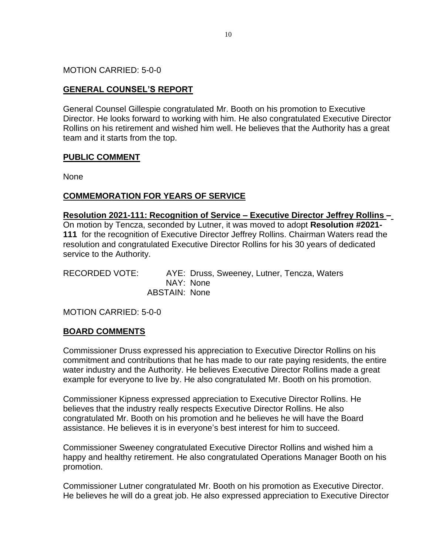MOTION CARRIED: 5-0-0

# **GENERAL COUNSEL'S REPORT**

General Counsel Gillespie congratulated Mr. Booth on his promotion to Executive Director. He looks forward to working with him. He also congratulated Executive Director Rollins on his retirement and wished him well. He believes that the Authority has a great team and it starts from the top.

## **PUBLIC COMMENT**

None

## **COMMEMORATION FOR YEARS OF SERVICE**

#### **Resolution 2021-111: Recognition of Service – Executive Director Jeffrey Rollins –**

On motion by Tencza, seconded by Lutner, it was moved to adopt **Resolution #2021- 111** for the recognition of Executive Director Jeffrey Rollins. Chairman Waters read the resolution and congratulated Executive Director Rollins for his 30 years of dedicated service to the Authority.

RECORDED VOTE: AYE: Druss, Sweeney, Lutner, Tencza, Waters NAY: None ABSTAIN: None

MOTION CARRIED: 5-0-0

#### **BOARD COMMENTS**

Commissioner Druss expressed his appreciation to Executive Director Rollins on his commitment and contributions that he has made to our rate paying residents, the entire water industry and the Authority. He believes Executive Director Rollins made a great example for everyone to live by. He also congratulated Mr. Booth on his promotion.

Commissioner Kipness expressed appreciation to Executive Director Rollins. He believes that the industry really respects Executive Director Rollins. He also congratulated Mr. Booth on his promotion and he believes he will have the Board assistance. He believes it is in everyone's best interest for him to succeed.

Commissioner Sweeney congratulated Executive Director Rollins and wished him a happy and healthy retirement. He also congratulated Operations Manager Booth on his promotion.

Commissioner Lutner congratulated Mr. Booth on his promotion as Executive Director. He believes he will do a great job. He also expressed appreciation to Executive Director